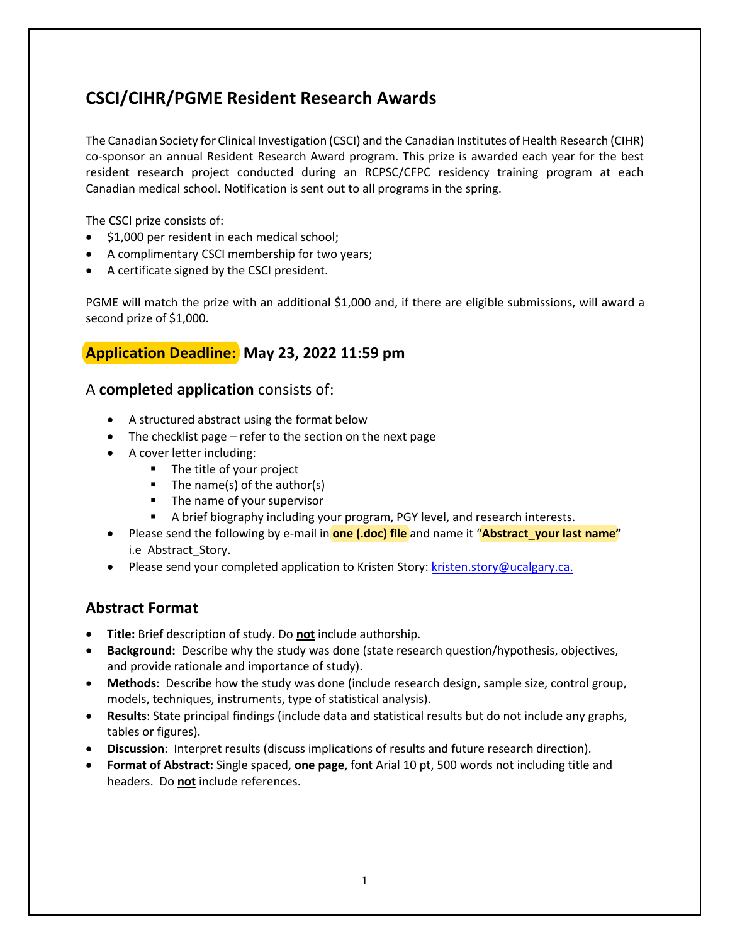# **CSCI/CIHR/PGME Resident Research Awards**

The Canadian Society for Clinical Investigation (CSCI) and the Canadian Institutes of Health Research (CIHR) co-sponsor an annual Resident Research Award program. This prize is awarded each year for the best resident research project conducted during an RCPSC/CFPC residency training program at each Canadian medical school. Notification is sent out to all programs in the spring.

The CSCI prize consists of:

- \$1,000 per resident in each medical school;
- A complimentary CSCI membership for two years;
- A certificate signed by the CSCI president.

PGME will match the prize with an additional \$1,000 and, if there are eligible submissions, will award a second prize of \$1,000.

### **Application Deadline: May 23, 2022 11:59 pm**

#### A **completed application** consists of:

- A structured abstract using the format below
- The checklist page refer to the section on the next page
- A cover letter including:
	- **The title of your project**
	- $\blacksquare$  The name(s) of the author(s)
	- **The name of your supervisor**
	- A brief biography including your program, PGY level, and research interests.
- Please send the following by e-mail in **one (.doc) file** and name it "**Abstract**\_**your last name"** i.e Abstract\_Story.
- Please send your completed application to Kristen Story: kristen.story@ucalgary.ca.

#### **Abstract Format**

- **Title:** Brief description of study. Do **not** include authorship.
- **Background:** Describe why the study was done (state research question/hypothesis, objectives, and provide rationale and importance of study).
- **Methods**: Describe how the study was done (include research design, sample size, control group, models, techniques, instruments, type of statistical analysis).
- **Results**: State principal findings (include data and statistical results but do not include any graphs, tables or figures).
- **Discussion**: Interpret results (discuss implications of results and future research direction).
- **Format of Abstract:** Single spaced, **one page**, font Arial 10 pt, 500 words not including title and headers. Do **not** include references.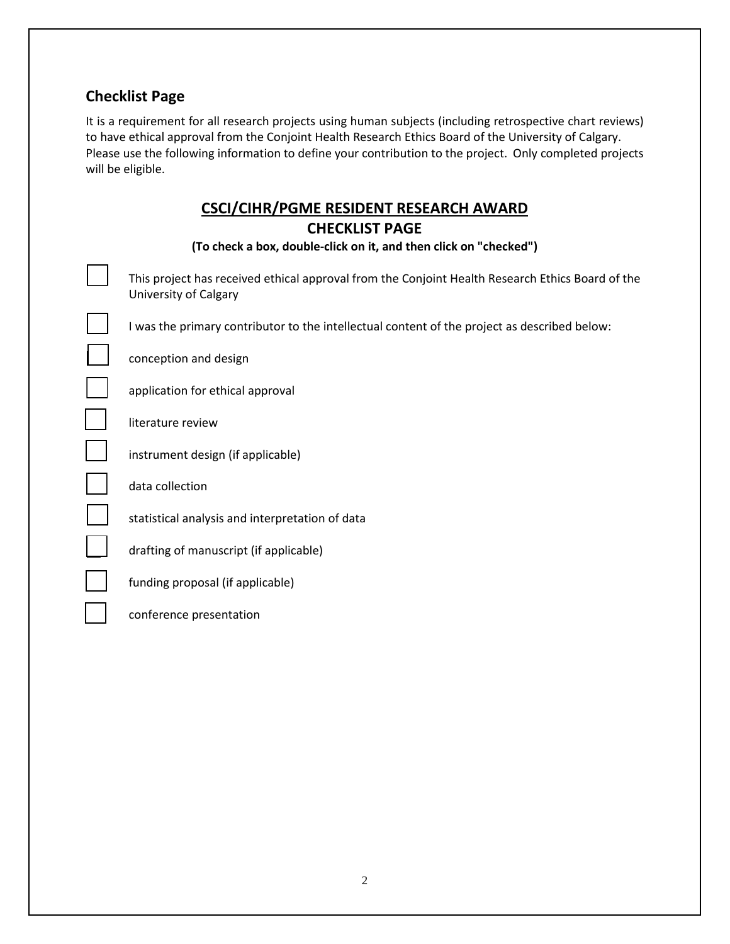# **Checklist Page**

It is a requirement for all research projects using human subjects (including retrospective chart reviews) to have ethical approval from the Conjoint Health Research Ethics Board of the University of Calgary. Please use the following information to define your contribution to the project. Only completed projects will be eligible.

# **CSCI/CIHR/PGME RESIDENT RESEARCH AWARD**

| This project has received ethical approval from the Conjoint Health Research Ethics Board of the |
|--------------------------------------------------------------------------------------------------|
| University of Calgary                                                                            |
| I was the primary contributor to the intellectual content of the project as described below:     |
| conception and design                                                                            |
| application for ethical approval                                                                 |
| literature review                                                                                |
| instrument design (if applicable)                                                                |
| data collection                                                                                  |
| statistical analysis and interpretation of data                                                  |
| drafting of manuscript (if applicable)                                                           |

funding proposal (if applicable)

conference presentation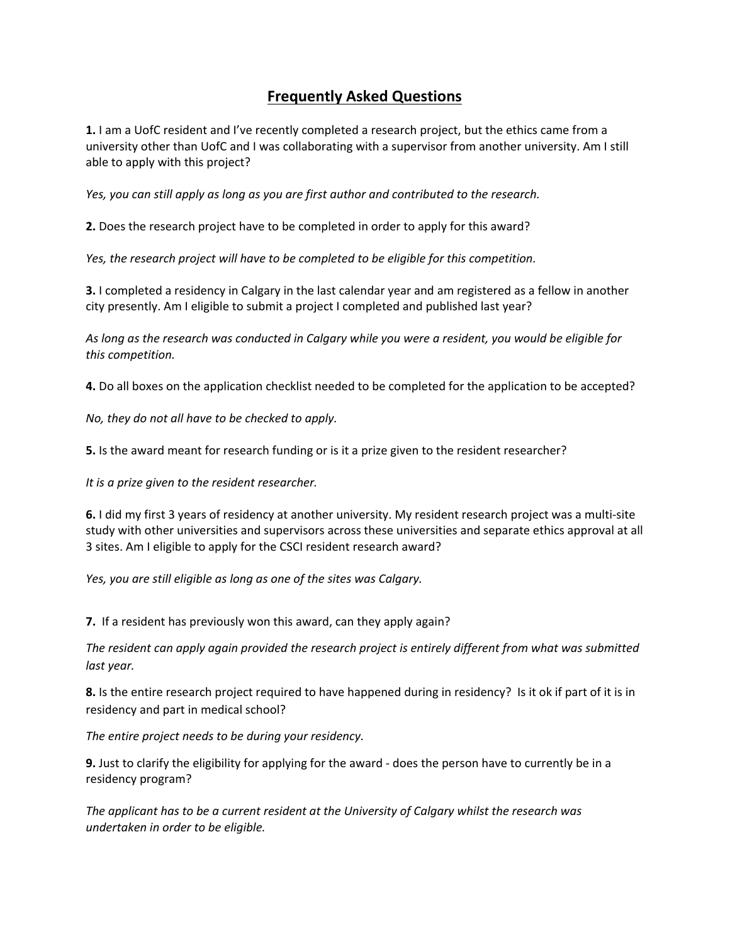## **Frequently Asked Questions**

**1.** I am a UofC resident and I've recently completed a research project, but the ethics came from a university other than UofC and I was collaborating with a supervisor from another university. Am I still able to apply with this project?

*Yes, you can still apply as long as you are first author and contributed to the research.*

**2.** Does the research project have to be completed in order to apply for this award?

*Yes, the research project will have to be completed to be eligible for this competition.*

**3.** I completed a residency in Calgary in the last calendar year and am registered as a fellow in another city presently. Am I eligible to submit a project I completed and published last year?

*As long as the research was conducted in Calgary while you were a resident, you would be eligible for this competition.*

**4.** Do all boxes on the application checklist needed to be completed for the application to be accepted?

*No, they do not all have to be checked to apply.*

**5.** Is the award meant for research funding or is it a prize given to the resident researcher?

*It is a prize given to the resident researcher.*

**6.** I did my first 3 years of residency at another university. My resident research project was a multi-site study with other universities and supervisors across these universities and separate ethics approval at all 3 sites. Am I eligible to apply for the CSCI resident research award?

*Yes, you are still eligible as long as one of the sites was Calgary.*

**7.** If a resident has previously won this award, can they apply again?

*The resident can apply again provided the research project is entirely different from what was submitted last year.*

**8.** Is the entire research project required to have happened during in residency? Is it ok if part of it is in residency and part in medical school?

*The entire project needs to be during your residency.*

**9.** Just to clarify the eligibility for applying for the award - does the person have to currently be in a residency program?

*The applicant has to be a current resident at the University of Calgary whilst the research was undertaken in order to be eligible.*